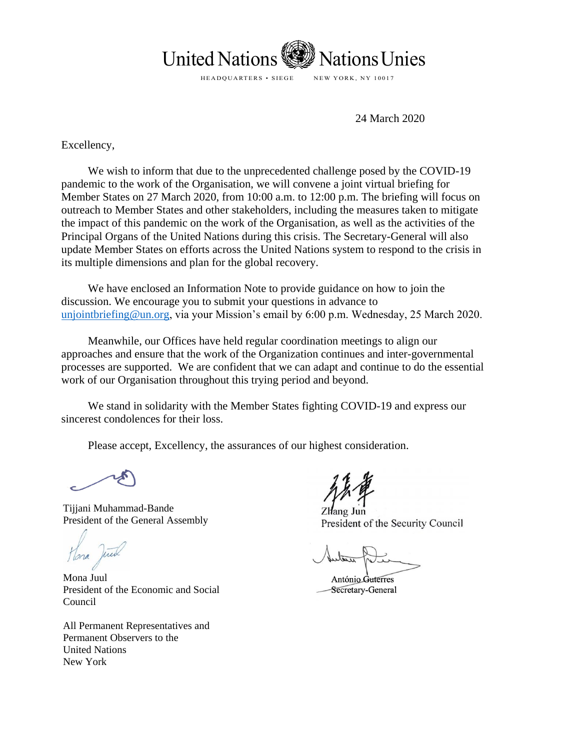

24 March 2020

Excellency,

We wish to inform that due to the unprecedented challenge posed by the COVID-19 pandemic to the work of the Organisation, we will convene a joint virtual briefing for Member States on 27 March 2020, from 10:00 a.m. to 12:00 p.m. The briefing will focus on outreach to Member States and other stakeholders, including the measures taken to mitigate the impact of this pandemic on the work of the Organisation, as well as the activities of the Principal Organs of the United Nations during this crisis. The Secretary-General will also update Member States on efforts across the United Nations system to respond to the crisis in its multiple dimensions and plan for the global recovery.

We have enclosed an Information Note to provide guidance on how to join the discussion. We encourage you to submit your questions in advance to [unjointbriefing@un.org,](mailto:unjointbriefing@un.org) via your Mission's email by 6:00 p.m. Wednesday, 25 March 2020.

Meanwhile, our Offices have held regular coordination meetings to align our approaches and ensure that the work of the Organization continues and inter-governmental processes are supported. We are confident that we can adapt and continue to do the essential work of our Organisation throughout this trying period and beyond.

We stand in solidarity with the Member States fighting COVID-19 and express our sincerest condolences for their loss.

Please accept, Excellency, the assurances of our highest consideration.

Tijjani Muhammad-Bande President of the General Assembly

Mona Juul President of the Economic and Social Council

All Permanent Representatives and Permanent Observers to the United Nations New York

Zhang Jun President of the Security Council

António Guterres Secretary-General